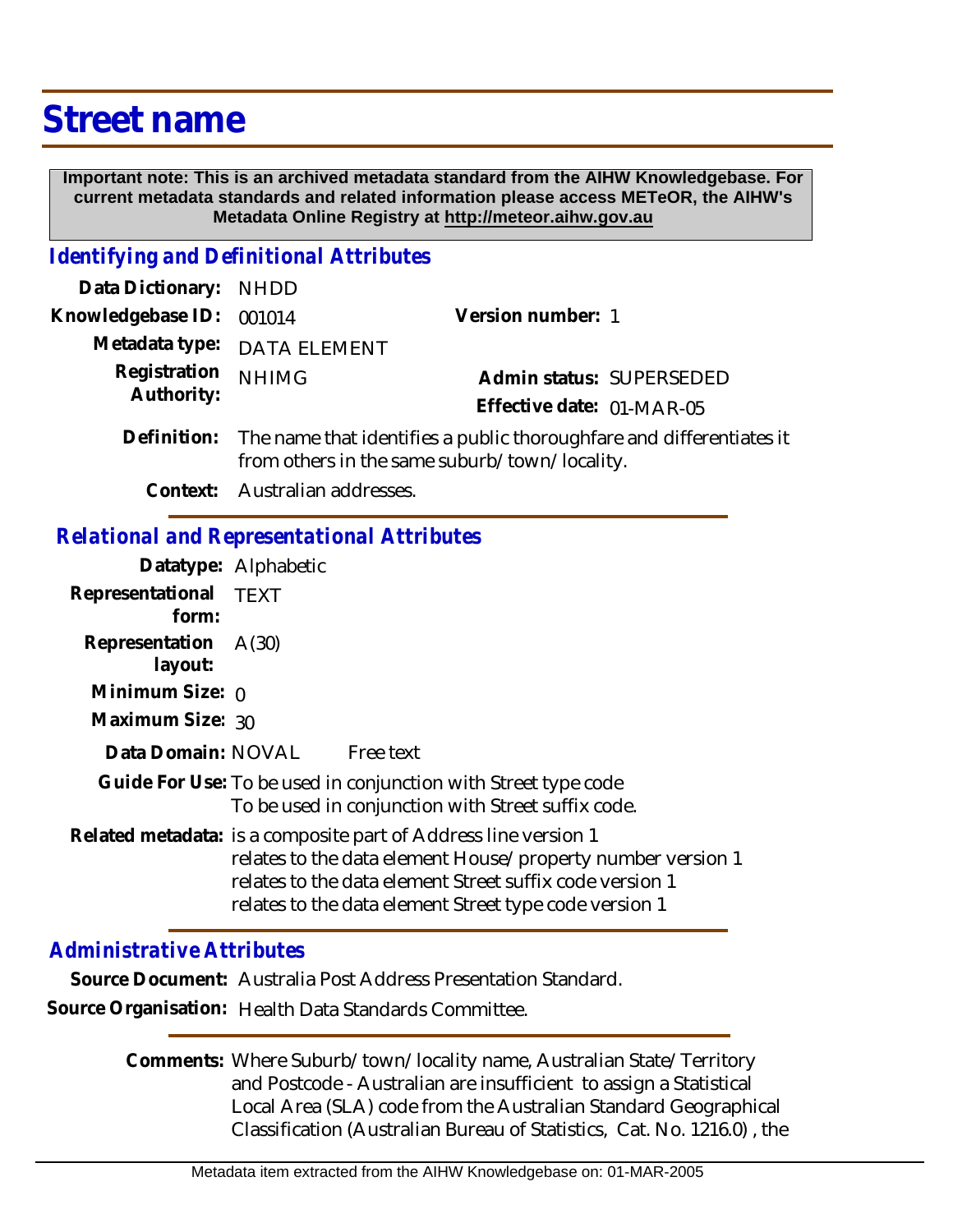## **Street name**

 **Important note: This is an archived metadata standard from the AIHW Knowledgebase. For current metadata standards and related information please access METeOR, the AIHW's Metadata Online Registry at http://meteor.aihw.gov.au**

## *Identifying and Definitional Attributes*

| Data Dictionary: NHDD    |                                                                             |                           |                          |
|--------------------------|-----------------------------------------------------------------------------|---------------------------|--------------------------|
| Knowledgebase ID: 001014 |                                                                             | Version number: 1         |                          |
|                          | Metadata type: DATA ELEMENT                                                 |                           |                          |
| Registration NHIMG       |                                                                             |                           | Admin status: SUPERSEDED |
| Authority:               |                                                                             | Effective date: 01-MAR-05 |                          |
|                          | $Definition.$ The name that identifies a public there unhfore and different |                           |                          |

- Definition: The name that identifies a public thoroughfare and differentiates it from others in the same suburb/town/locality.
	- **Context:** Australian addresses.

## *Relational and Representational Attributes*

|                                 | Datatype: Alphabetic                                                                                                                                                                                                                                 |
|---------------------------------|------------------------------------------------------------------------------------------------------------------------------------------------------------------------------------------------------------------------------------------------------|
| Representational TEXT<br>form:  |                                                                                                                                                                                                                                                      |
| Representation A(30)<br>layout: |                                                                                                                                                                                                                                                      |
| Minimum Size: $\rho$            |                                                                                                                                                                                                                                                      |
| Maximum Size: 30                |                                                                                                                                                                                                                                                      |
|                                 | Data Domain: NOVAL Free text                                                                                                                                                                                                                         |
|                                 | Guide For Use: To be used in conjunction with Street type code<br>To be used in conjunction with Street suffix code.                                                                                                                                 |
|                                 | Related metadata: is a composite part of Address line version 1<br>relates to the data element House/property number version 1<br>relates to the data element Street suffix code version 1<br>relates to the data element Street type code version 1 |

## *Administrative Attributes*

**Source Document:** Australia Post Address Presentation Standard.

**Source Organisation:** Health Data Standards Committee.

Comments: Where Suburb/town/locality name, Australian State/Territory and Postcode - Australian are insufficient to assign a Statistical Local Area (SLA) code from the Australian Standard Geographical Classification (Australian Bureau of Statistics, Cat. No. 1216.0) , the